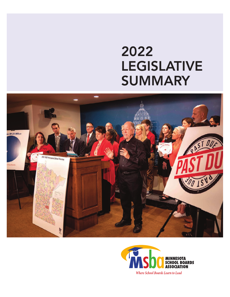# 2022 LEGISLATIVE SUMMARY



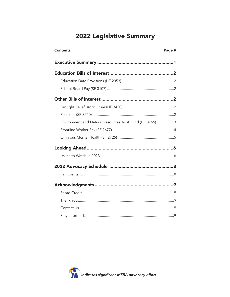# 2022 Legislative Summary

| <b>Contents</b>                                         | Page # |
|---------------------------------------------------------|--------|
|                                                         |        |
|                                                         |        |
|                                                         |        |
|                                                         |        |
|                                                         |        |
|                                                         |        |
|                                                         |        |
| Environment and Natural Resources Trust Fund (HF 3765)3 |        |
|                                                         |        |
|                                                         |        |
|                                                         |        |
|                                                         |        |
|                                                         |        |
|                                                         |        |
|                                                         |        |
|                                                         |        |
|                                                         |        |
|                                                         |        |
|                                                         |        |

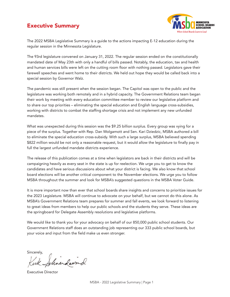# <span id="page-2-0"></span>Executive Summary



The 2022 MSBA Legislative Summary is a guide to the actions impacting E-12 education during the regular session in the Minnesota Legislature.

The 93rd legislature convened on January 31, 2022. The regular session ended on the constitutionally mandated date of May 23th with only a handful of bills passed. Notably, the education, tax and health and human services bills were left on the cutting room floor with nothing passed. Legislators gave their farewell speeches and went home to their districts. We held out hope they would be called back into a special session by Governor Walz.

The pandemic was still present when the session began. The Capitol was open to the public and the legislature was working both remotely and in a hybrid capacity. The Government Relations team began their work by meeting with every education committee member to review our legislative platform and to share our top priorities – eliminating the special education and English language cross-subsidies, working with districts to combat the staffing shortage crisis and not implement any new unfunded mandates.

What was unexpected during this session was the \$9.25 billion surplus. Every group was vying for a piece of the surplus. Together with Rep. Dan Wolgamott and Sen. Kari Dziedzic, MSBA authored a bill to eliminate the special education cross-subsidy. With such a large surplus, MSBA believed spending \$822 million would be not only a reasonable request, but it would allow the legislature to finally pay in full the largest unfunded mandate districts experience.

The release of this publication comes at a time when legislators are back in their districts and will be campaigning heavily as every seat in the state is up for reelection. We urge you to get to know the candidates and have serious discussions about what your district is facing. We also know that school board elections will be another critical component to the November elections. We urge you to follow MSBA throughout the summer and look for MSBA's suggested questions in the MSBA Voter Guide.

It is more important now than ever that school boards share insights and concerns to prioritize issues for the 2023 Legislature. MSBA will continue to advocate on your behalf, but we cannot do this alone. As MSBA's Government Relations team prepares for summer and fall events, we look forward to listening to great ideas from members to help our public schools and the students they serve. These ideas are the springboard for Delegate Assembly resolutions and legislative platforms.

We would like to thank you for your advocacy on behalf of our 850,000 public school students. Our Government Relations staff does an outstanding job representing our 333 public school boards, but your voice and input from the field make us even stronger.

Sincerely,

Johne Lawnd

Executive Director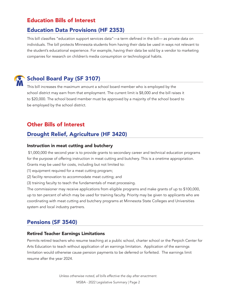# <span id="page-3-0"></span>Education Bills of Interest

## Education Data Provisions (HF 2353)

This bill classifies "education support services data"—a term defined in the bill— as private data on individuals. The bill protects Minnesota students from having their data be used in ways not relevant to the student's educational experience. For example, having their data be sold by a vendor to marketing companies for research on children's media consumption or technological habits.



# School Board Pay (SF 3107)

This bill increases the maximum amount a school board member who is employed by the school district may earn from that employment. The current limit is \$8,000 and the bill raises it to \$20,000. The school board member must be approved by a majority of the school board to be employed by the school district.

# Other Bills of Interest

# Drought Relief, Agriculture (HF 3420)

### Instruction in meat cutting and butchery

 \$1,000,000 the second year is to provide grants to secondary career and technical education programs for the purpose of offering instruction in meat cutting and butchery. This is a onetime appropriation. Grants may be used for costs, including but not limited to:

(1) equipment required for a meat cutting program;

(2) facility renovation to accommodate meat cutting; and

(3) training faculty to teach the fundamentals of meat processing.

The commissioner may receive applications from eligible programs and make grants of up to \$100,000, up to ten percent of which may be used for training faculty. Priority may be given to applicants who are coordinating with meat cutting and butchery programs at Minnesota State Colleges and Universities system and local industry partners.

### Pensions (SF 3540)

### Retired Teacher Earnings Limitations

Permits retired teachers who resume teaching at a public school, charter school or the Perpich Center for Arts Education to teach without application of an earnings limitation. Application of the earnings limitation would otherwise cause pension payments to be deferred or forfeited. The earnings limit resume after the year 2024.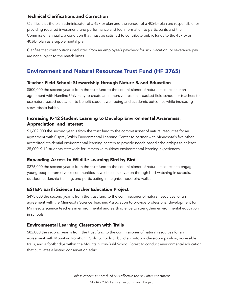### <span id="page-4-0"></span>Technical Clarifications and Correction

Clarifies that the plan administrator of a 457(b) plan and the vendor of a 403(b) plan are responsible for providing required investment fund performance and fee information to participants and the Commission annually, a condition that must be satisfied to contribute public funds to the 457(b) or 403(b) plan as a supplemental plan.

Clarifies that contributions deducted from an employee's paycheck for sick, vacation, or severance pay are not subject to the match limits.

## Environment and Natural Resources Trust Fund (HF 3765)

### Teacher Field School: Stewardship through Nature-Based Education

\$500,000 the second year is from the trust fund to the commissioner of natural resources for an agreement with Hamline University to create an immersive, research-backed field school for teachers to use nature-based education to benefit student well-being and academic outcomes while increasing stewardship habits.

### Increasing K-12 Student Learning to Develop Environmental Awareness, Appreciation, and Interest

\$1,602,000 the second year is from the trust fund to the commissioner of natural resources for an agreement with Osprey Wilds Environmental Learning Center to partner with Minnesota's five other accredited residential environmental learning centers to provide needs-based scholarships to at least 25,000 K-12 students statewide for immersive multiday environmental learning experiences.

### Expanding Access to Wildlife Learning Bird by Bird

\$276,000 the second year is from the trust fund to the commissioner of natural resources to engage young people from diverse communities in wildlife conservation through bird-watching in schools, outdoor leadership training, and participating in neighborhood bird walks.

### ESTEP: Earth Science Teacher Education Project

\$495,000 the second year is from the trust fund to the commissioner of natural resources for an agreement with the Minnesota Science Teachers Association to provide professional development for Minnesota science teachers in environmental and earth science to strengthen environmental education in schools.

### Environmental Learning Classroom with Trails

\$82,000 the second year is from the trust fund to the commissioner of natural resources for an agreement with Mountain Iron-Buhl Public Schools to build an outdoor classroom pavilion, accessible trails, and a footbridge within the Mountain Iron-Buhl School Forest to conduct environmental education that cultivates a lasting conservation ethic.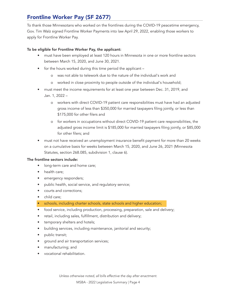# <span id="page-5-0"></span>Frontline Worker Pay (SF 2677)

To thank those Minnesotans who worked on the frontlines during the COVID-19 peacetime emergency, Gov. Tim Walz signed Frontline Worker Payments into law April 29, 2022, enabling those workers to apply for Frontline Worker Pay.

### To be eligible for Frontline Worker Pay, the applicant:

- must have been employed at least 120 hours in Minnesota in one or more frontline sectors between March 15, 2020, and June 30, 2021.
- for the hours worked during this time period the applicant
	- o was not able to telework due to the nature of the individual's work and
	- o worked in close proximity to people outside of the individual's household;
- must meet the income requirements for at least one year between Dec. 31, 2019, and Jan. 1, 2022 –
	- o workers with direct COVID-19 patient care responsibilities must have had an adjusted gross income of less than \$350,000 for married taxpayers filing jointly, or less than \$175,000 for other filers and
	- o for workers in occupations without direct COVID-19 patient care responsibilities, the adjusted gross income limit is \$185,000 for married taxpayers filing jointly, or \$85,000 for other filers; and
- must not have received an unemployment insurance benefit payment for more than 20 weeks on a cumulative basis for weeks between March 15, 2020, and June 26, 2021 (Minnesota Statutes, section 268.085, subdivision 1, clause 6).

### The frontline sectors include:

- long-term care and home care;
- health care;
- emergency responders;
- public health, social service, and regulatory service;
- courts and corrections;
- child care:
- schools, including charter schools, state schools and higher education;
- food service, including production, processing, preparation, sale and delivery;
- retail, including sales, fulfillment, distribution and delivery;
- temporary shelters and hotels;
- building services, including maintenance, janitorial and security;
- public transit;
- ground and air transportation services;
- manufacturing; and
- vocational rehabilitation.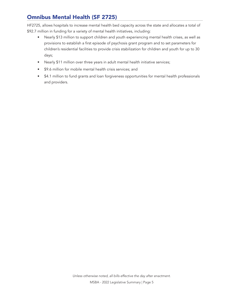# <span id="page-6-0"></span>Omnibus Mental Health (SF 2725)

HF2725, allows hospitals to increase mental health bed capacity across the state and allocates a total of \$92.7 million in funding for a variety of mental health initiatives, including:

- Nearly \$13 million to support children and youth experiencing mental health crises, as well as provisions to establish a first episode of psychosis grant program and to set parameters for children's residential facilities to provide crisis stabilization for children and youth for up to 30 days;
- Nearly \$11 million over three years in adult mental health initiative services;
- \$9.6 million for mobile mental health crisis services; and
- \$4.1 million to fund grants and loan forgiveness opportunities for mental health professionals and providers.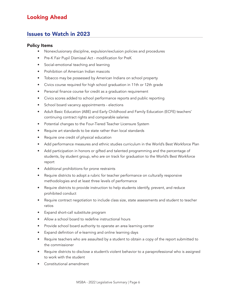# <span id="page-7-0"></span>Looking Ahead

### Issues to Watch in 2023

#### Policy Items

- Nonexclusionary discipline, expulsion/exclusion policies and procedures
- Pre-K Fair Pupil Dismissal Act modification for PreK
- Social-emotional teaching and learning
- Prohibition of American Indian mascots
- Tobacco may be possessed by American Indians on school property
- Civics course required for high school graduation in 11th or 12th grade
- Personal finance course for credit as a graduation requirement
- Civics scores added to school performance reports and public reporting
- School board vacancy appointments elections
- Adult Basic Education (ABE) and Early Childhood and Family Education (ECFE) teachers' continuing contract rights and comparable salaries
- Potential changes to the Four-Tiered Teacher Licensure System
- Require art standards to be state rather than local standards
- Require one credit of physical education
- Add performance measures and ethnic studies curriculum in the World's Best Workforce Plan
- Add participation in honors or gifted and talented programming and the percentage of students, by student group, who are on track for graduation to the World's Best Workforce report
- Additional prohibitions for prone restraints
- Require districts to adopt a rubric for teacher performance on culturally responsive methodologies and at least three levels of performance
- Require districts to provide instruction to help students identify, prevent, and reduce prohibited conduct
- Require contract negotiation to include class size, state assessments and student to teacher ratios
- Expand short-call substitute program
- Allow a school board to redefine instructional hours
- Provide school board authority to operate an area learning center
- Expand definition of e-learning and online learning days
- Require teachers who are assaulted by a student to obtain a copy of the report submitted to the commissioner
- Require districts to disclose a student's violent behavior to a paraprofessional who is assigned to work with the student
- Constitutional amendment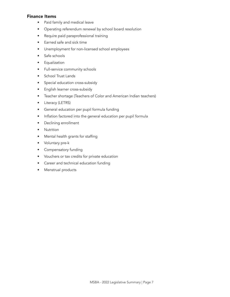### Finance Items

- Paid family and medical leave
- Operating referendum renewal by school board resolution
- Require paid paraprofessional training
- Earned safe and sick time
- Unemployment for non-licensed school employees
- Safe schools
- Equalization
- Full-service community schools
- School Trust Lands
- Special education cross-subsidy
- English learner cross-subsidy
- Teacher shortage (Teachers of Color and American Indian teachers)
- Literacy (LETRS)
- General education per pupil formula funding
- Inflation factored into the general education per pupil formula
- Declining enrollment
- Nutrition
- Mental health grants for staffing
- Voluntary pre-k
- Compensatory funding
- Vouchers or tax credits for private education
- Career and technical education funding
- Menstrual products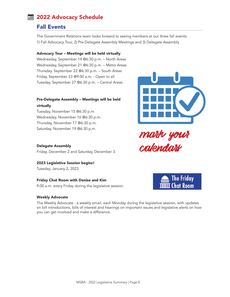# <span id="page-9-0"></span>2022 Advocacy Schedule

### Fall Events

The Government Relations team looks forward to seeing members at our three fall events: 1) Fall Advocacy Tour, 2) Pre-Delegate Assembly Meetings and 3) Delegate Assembly

#### Advocacy Tour – Meetings will be held virtually

Wednesday, September 14 @6:30 p.m. – North Areas Wednesday, September 21 @6:30 p.m. – Metro Areas Thursday, September 22 @6:30 p.m. – South Areas Friday, September 23 @9:00 a.m. - Open to all Tuesday, September 27 @6:30 p.m. – Central Areas

### Pre-Delegate Assembly – Meetings will be held virtually

Tuesday, November 15 @6:30 p.m. Wednesday, November 16 @6:30 p.m. Thursday, November 17 @6:30 p.m. Saturday, November 19 @6:30 p.m.



mark your calendars

#### Delegate Assembly

Friday, December 2 and Saturday, December 3.

#### 2023 Legislative Session begins!

Tuesday, January 2, 2023

### Friday Chat Room with Denise and Kim

9:00 a.m. every Friday during the legislative session.

#### Weekly Advocate

The Weekly Advocate - a weekly email, each Monday during the legislative session, with updates on bill introductions, bills of interest and hearings on important issues and legislative alerts on how you can get involved and make a difference.